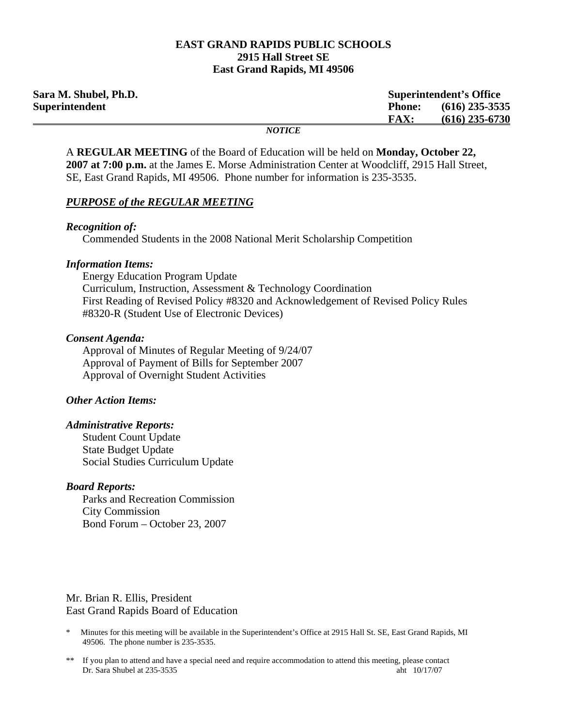### **EAST GRAND RAPIDS PUBLIC SCHOOLS 2915 Hall Street SE East Grand Rapids, MI 49506**

| Sara M. Shubel, Ph.D. |                              | <b>Superintendent's Office</b> |                  |
|-----------------------|------------------------------|--------------------------------|------------------|
| <b>Superintendent</b> |                              | <b>Phone:</b>                  | $(616)$ 235-3535 |
|                       |                              | <b>FAX:</b>                    | $(616)$ 235-6730 |
|                       | $\bf M\Delta T\bf I\Delta T$ |                                |                  |

*NOTICE* 

A **REGULAR MEETING** of the Board of Education will be held on **Monday, October 22, 2007 at 7:00 p.m.** at the James E. Morse Administration Center at Woodcliff, 2915 Hall Street, SE, East Grand Rapids, MI 49506. Phone number for information is 235-3535.

### *PURPOSE of the REGULAR MEETING*

### *Recognition of:*

Commended Students in the 2008 National Merit Scholarship Competition

### *Information Items:*

 Energy Education Program Update Curriculum, Instruction, Assessment & Technology Coordination First Reading of Revised Policy #8320 and Acknowledgement of Revised Policy Rules #8320-R (Student Use of Electronic Devices)

### *Consent Agenda:*

 Approval of Minutes of Regular Meeting of 9/24/07 Approval of Payment of Bills for September 2007 Approval of Overnight Student Activities

## *Other Action Items:*

### *Administrative Reports:*

Student Count Update State Budget Update Social Studies Curriculum Update

#### *Board Reports:*

 Parks and Recreation Commission City Commission Bond Forum – October 23, 2007

Mr. Brian R. Ellis, President East Grand Rapids Board of Education

- \* Minutes for this meeting will be available in the Superintendent's Office at 2915 Hall St. SE, East Grand Rapids, MI 49506. The phone number is 235-3535.
- \*\* If you plan to attend and have a special need and require accommodation to attend this meeting, please contact Dr. Sara Shubel at 235-3535 aht 10/17/07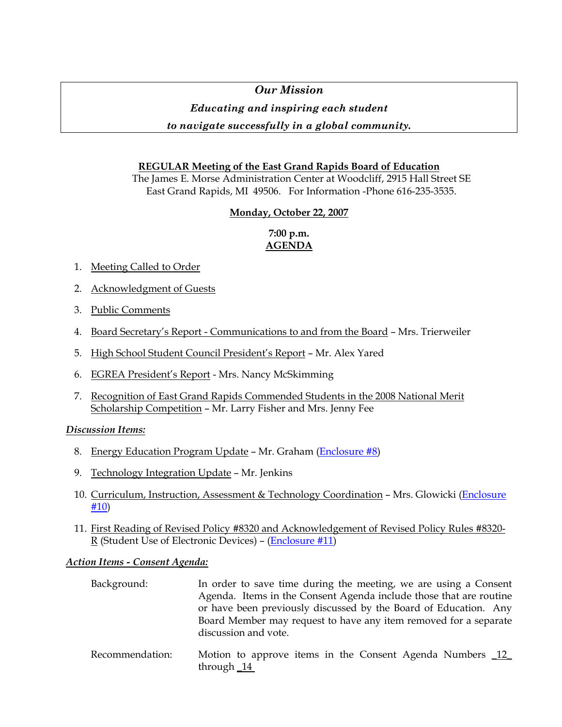# *Our Mission*

# *Educating and inspiring each student*

# *to navigate successfully in a global community.*

# **REGULAR Meeting of the East Grand Rapids Board of Education**

The James E. Morse Administration Center at Woodcliff, 2915 Hall Street SE East Grand Rapids, MI 49506. For Information -Phone 616-235-3535.

# **Monday, October 22, 2007**

# **7:00 p.m. AGENDA**

- 1. Meeting Called to Order
- 2. Acknowledgment of Guests
- 3. Public Comments
- 4. Board Secretary's Report Communications to and from the Board Mrs. Trierweiler
- 5. High School Student Council President's Report Mr. Alex Yared
- 6. EGREA President's Report Mrs. Nancy McSkimming
- 7. Recognition of East Grand Rapids Commended Students in the 2008 National Merit Scholarship Competition – Mr. Larry Fisher and Mrs. Jenny Fee

# *Discussion Items:*

- 8. Energy Education Program Update Mr. Graham (Enclosure #8)
- 9. Technology Integration Update Mr. Jenkins
- 10. Curriculum, Instruction, Assessment & Technology Coordination Mrs. Glowicki (Enclosure #10)
- 11. First Reading of Revised Policy #8320 and Acknowledgement of Revised Policy Rules #8320- R (Student Use of Electronic Devices) – (Enclosure #11)

# *Action Items - Consent Agenda:*

| Background: | In order to save time during the meeting, we are using a Consent   |
|-------------|--------------------------------------------------------------------|
|             | Agenda. Items in the Consent Agenda include those that are routine |
|             | or have been previously discussed by the Board of Education. Any   |
|             | Board Member may request to have any item removed for a separate   |
|             | discussion and vote.                                               |
|             |                                                                    |

 Recommendation: Motion to approve items in the Consent Agenda Numbers \_12\_ through \_14